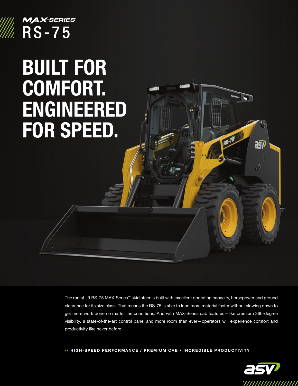

## **MAX-SERIES RS-75**

## BUILT FOR COMFORT. ENGINEERED FOR SPEED.

The radial-lift RS-75 MAX-Series™ skid steer is built with excellent operating capacity, horsepower and ground clearance for its size class. That means the RS-75 is able to load more material faster without slowing down to get more work done no matter the conditions. And with MAX-Series cab features—like premium 360-degree visibility, a state-of-the-art control panel and more room than ever—operators will experience comfort and productivity like never before.

// HIGH-SPEED PERFORMANCE / PREMIUM CAB / INCREDIBLE PRODUCTIVITY



asv